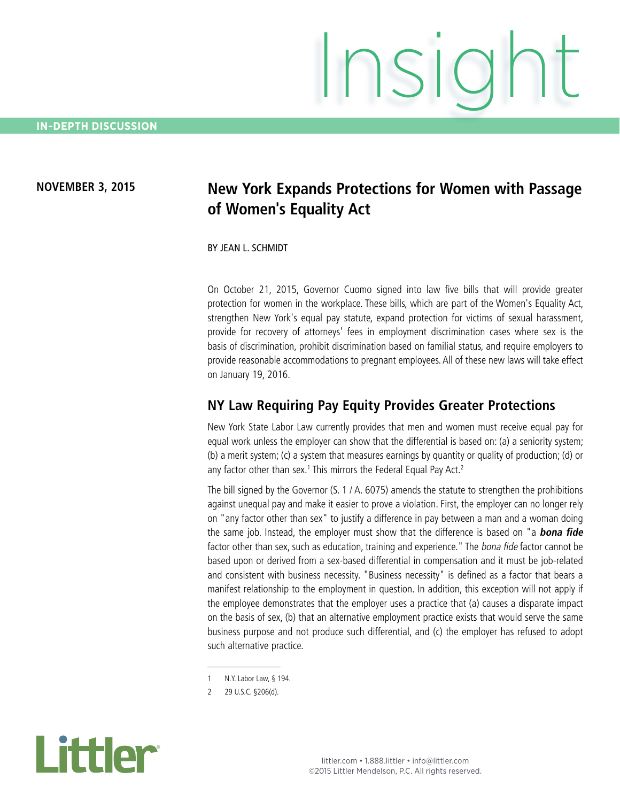#### **NOVEMBER 3, 2015**

# **New York Expands Protections for Women with Passage of Women's Equality Act**

BY JEAN L. SCHMIDT

On October 21, 2015, Governor Cuomo signed into law five bills that will provide greater protection for women in the workplace. These bills, which are part of the Women's Equality Act, strengthen New York's equal pay statute, expand protection for victims of sexual harassment, provide for recovery of attorneys' fees in employment discrimination cases where sex is the basis of discrimination, prohibit discrimination based on familial status, and require employers to provide reasonable accommodations to pregnant employees. All of these new laws will take effect on January 19, 2016.

#### **NY Law Requiring Pay Equity Provides Greater Protections**

New York State Labor Law currently provides that men and women must receive equal pay for equal work unless the employer can show that the differential is based on: (a) a seniority system; (b) a merit system; (c) a system that measures earnings by quantity or quality of production; (d) or any factor other than sex.<sup>1</sup> This mirrors the Federal Equal Pay Act.<sup>2</sup>

The bill signed by the Governor (S. 1 / A. 6075) amends the statute to strengthen the prohibitions against unequal pay and make it easier to prove a violation. First, the employer can no longer rely on "any factor other than sex" to justify a difference in pay between a man and a woman doing the same job. Instead, the employer must show that the difference is based on "a **bona fide**  factor other than sex, such as education, training and experience." The bona fide factor cannot be based upon or derived from a sex-based differential in compensation and it must be job-related and consistent with business necessity. "Business necessity" is defined as a factor that bears a manifest relationship to the employment in question. In addition, this exception will not apply if the employee demonstrates that the employer uses a practice that (a) causes a disparate impact on the basis of sex, (b) that an alternative employment practice exists that would serve the same business purpose and not produce such differential, and (c) the employer has refused to adopt such alternative practice.



<sup>1</sup> N.Y. Labor Law, § 194.

<sup>2</sup> 29 U.S.C. §206(d).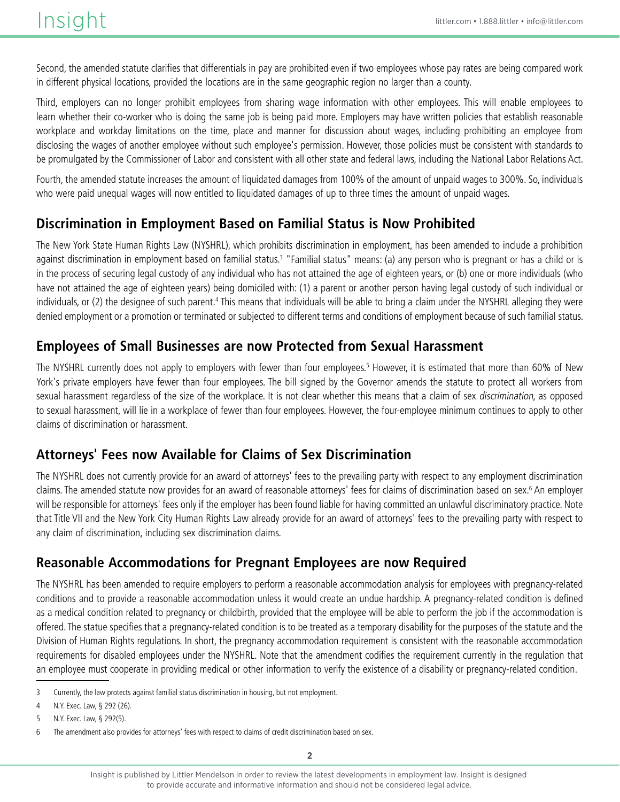Second, the amended statute clarifies that differentials in pay are prohibited even if two employees whose pay rates are being compared work in different physical locations, provided the locations are in the same geographic region no larger than a county.

Third, employers can no longer prohibit employees from sharing wage information with other employees. This will enable employees to learn whether their co-worker who is doing the same job is being paid more. Employers may have written policies that establish reasonable workplace and workday limitations on the time, place and manner for discussion about wages, including prohibiting an employee from disclosing the wages of another employee without such employee's permission. However, those policies must be consistent with standards to be promulgated by the Commissioner of Labor and consistent with all other state and federal laws, including the National Labor Relations Act.

Fourth, the amended statute increases the amount of liquidated damages from 100% of the amount of unpaid wages to 300%. So, individuals who were paid unequal wages will now entitled to liquidated damages of up to three times the amount of unpaid wages.

### **Discrimination in Employment Based on Familial Status is Now Prohibited**

The New York State Human Rights Law (NYSHRL), which prohibits discrimination in employment, has been amended to include a prohibition against discrimination in employment based on familial status.<sup>3</sup> "Familial status" means: (a) any person who is pregnant or has a child or is in the process of securing legal custody of any individual who has not attained the age of eighteen years, or (b) one or more individuals (who have not attained the age of eighteen years) being domiciled with: (1) a parent or another person having legal custody of such individual or individuals, or (2) the designee of such parent.<sup>4</sup> This means that individuals will be able to bring a claim under the NYSHRL alleging they were denied employment or a promotion or terminated or subjected to different terms and conditions of employment because of such familial status.

### **Employees of Small Businesses are now Protected from Sexual Harassment**

The NYSHRL currently does not apply to employers with fewer than four employees.<sup>5</sup> However, it is estimated that more than 60% of New York's private employers have fewer than four employees. The bill signed by the Governor amends the statute to protect all workers from sexual harassment regardless of the size of the workplace. It is not clear whether this means that a claim of sex *discrimination*, as opposed to sexual harassment, will lie in a workplace of fewer than four employees. However, the four-employee minimum continues to apply to other claims of discrimination or harassment.

### **Attorneys' Fees now Available for Claims of Sex Discrimination**

The NYSHRL does not currently provide for an award of attorneys' fees to the prevailing party with respect to any employment discrimination claims. The amended statute now provides for an award of reasonable attorneys' fees for claims of discrimination based on sex.6 An employer will be responsible for attorneys' fees only if the employer has been found liable for having committed an unlawful discriminatory practice. Note that Title VII and the New York City Human Rights Law already provide for an award of attorneys' fees to the prevailing party with respect to any claim of discrimination, including sex discrimination claims.

### **Reasonable Accommodations for Pregnant Employees are now Required**

The NYSHRL has been amended to require employers to perform a reasonable accommodation analysis for employees with pregnancy-related conditions and to provide a reasonable accommodation unless it would create an undue hardship. A pregnancy-related condition is defined as a medical condition related to pregnancy or childbirth, provided that the employee will be able to perform the job if the accommodation is offered. The statue specifies that a pregnancy-related condition is to be treated as a temporary disability for the purposes of the statute and the Division of Human Rights regulations. In short, the pregnancy accommodation requirement is consistent with the reasonable accommodation requirements for disabled employees under the NYSHRL. Note that the amendment codifies the requirement currently in the regulation that an employee must cooperate in providing medical or other information to verify the existence of a disability or pregnancy-related condition.

<sup>3</sup> Currently, the law protects against familial status discrimination in housing, but not employment.

<sup>4</sup> N.Y. Exec. Law, § 292 (26).

<sup>5</sup> N.Y. Exec. Law, § 292(5).

<sup>6</sup> The amendment also provides for attorneys' fees with respect to claims of credit discrimination based on sex.